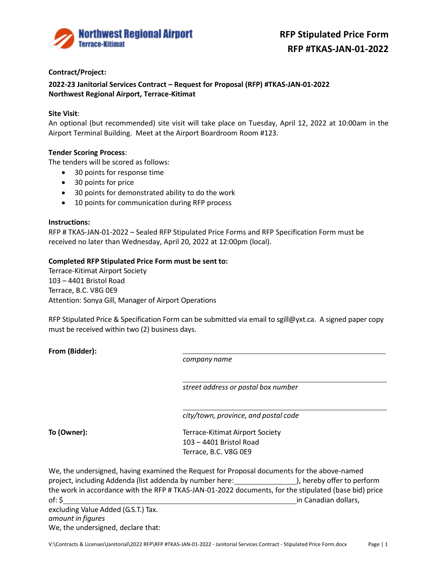

# **Contract/Project:**

**2022-23 Janitorial Services Contract – Request for Proposal (RFP) #TKAS-JAN-01-2022 Northwest Regional Airport, Terrace-Kitimat**

## **Site Visit**:

An optional (but recommended) site visit will take place on Tuesday, April 12, 2022 at 10:00am in the Airport Terminal Building. Meet at the Airport Boardroom Room #123.

### **Tender Scoring Process**:

The tenders will be scored as follows:

- 30 points for response time
- 30 points for price
- 30 points for demonstrated ability to do the work
- 10 points for communication during RFP process

### **Instructions:**

RFP # TKAS-JAN-01-2022 – Sealed RFP Stipulated Price Forms and RFP Specification Form must be received no later than Wednesday, April 20, 2022 at 12:00pm (local).

### **Completed RFP Stipulated Price Form must be sent to:**

Terrace-Kitimat Airport Society 103 – 4401 Bristol Road Terrace, B.C. V8G 0E9 Attention: Sonya Gill, Manager of Airport Operations

RFP Stipulated Price & Specification Form can be submitted via email to sgill@yxt.ca. A signed paper copy must be received within two (2) business days.

**From (Bidder):**

*company name*

*street address or postal box number*

*city/town, province, and postal code*

**To (Owner):** The Terrace-Kitimat Airport Society 103 – 4401 Bristol Road Terrace, B.C. V8G 0E9

We, the undersigned, having examined the Request for Proposal documents for the above-named project, including Addenda (list addenda by number here: ), hereby offer to perform the work in accordance with the RFP # TKAS-JAN-01-2022 documents, for the stipulated (base bid) price of: \$ in Canadian dollars, excluding Value Added (G.S.T.) Tax. *amount in figures*

We, the undersigned, declare that: